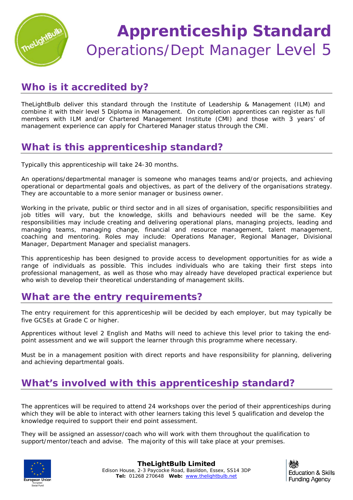

## **Apprenticeship Standard** Operations/Dept Manager Level 5

## **Who is it accredited by?**

TheLightBulb deliver this standard through the Institute of Leadership & Management (ILM) and combine it with their level 5 Diploma in Management. On completion apprentices can register as full members with ILM and/or Chartered Management Institute (CMI) and those with 3 years' of management experience can apply for Chartered Manager status through the CMI.

## **What is this apprenticeship standard?**

Typically this apprenticeship will take 24-30 months.

An operations/departmental manager is someone who manages teams and/or projects, and achieving operational or departmental goals and objectives, as part of the delivery of the organisations strategy. They are accountable to a more senior manager or business owner.

Working in the private, public or third sector and in all sizes of organisation, specific responsibilities and job titles will vary, but the knowledge, skills and behaviours needed will be the same. Key responsibilities may include creating and delivering operational plans, managing projects, leading and managing teams, managing change, financial and resource management, talent management, coaching and mentoring. Roles may include: Operations Manager, Regional Manager, Divisional Manager, Department Manager and specialist managers.

This apprenticeship has been designed to provide access to development opportunities for as wide a range of individuals as possible. This includes individuals who are taking their first steps into professional management, as well as those who may already have developed practical experience but who wish to develop their theoretical understanding of management skills.

## **What are the entry requirements?**

The entry requirement for this apprenticeship will be decided by each employer, but may typically be five GCSEs at Grade C or higher.

Apprentices without level 2 English and Maths will need to achieve this level prior to taking the endpoint assessment and we will support the learner through this programme where necessary.

Must be in a management position with direct reports and have responsibility for planning, delivering and achieving departmental goals.

## **What's involved with this apprenticeship standard?**

The apprentices will be required to attend 24 workshops over the period of their apprenticeships during which they will be able to interact with other learners taking this level 5 qualification and develop the knowledge required to support their end point assessment.

They will be assigned an assessor/coach who will work with them throughout the qualification to support/mentor/teach and advise. The majority of this will take place at your premises.